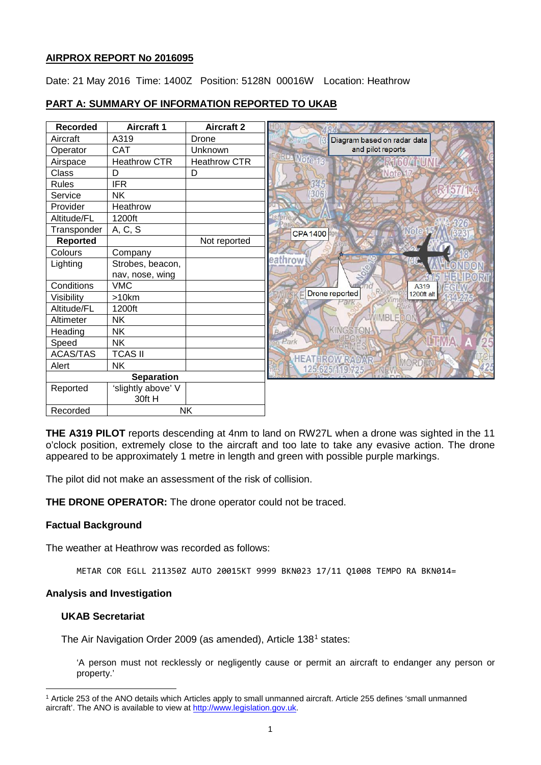## **AIRPROX REPORT No 2016095**

Date: 21 May 2016 Time: 1400Z Position: 5128N 00016W Location: Heathrow

## **PART A: SUMMARY OF INFORMATION REPORTED TO UKAB**

| <b>Recorded</b>   | <b>Aircraft 1</b>  | <b>Aircraft 2</b>   |                                 |
|-------------------|--------------------|---------------------|---------------------------------|
| Aircraft          | A319               | Drone               | Diagram based on radar data     |
| Operator          | <b>CAT</b>         | Unknown             | and pilot reports               |
| Airspace          | Heathrow CTR       | <b>Heathrow CTR</b> | ORD Moto 18<br><b>ARTIGUARU</b> |
| Class             | D                  | D                   | <b>RNote</b> 1                  |
| Rules             | <b>IFR</b>         |                     | 57/1.4                          |
| Service           | <b>NK</b>          |                     | (306)                           |
| Provider          | Heathrow           |                     |                                 |
| Altitude/FL       | 1200ft             |                     |                                 |
| Transponder       | A, C, S            |                     | <b>CPA1400</b>                  |
| <b>Reported</b>   |                    | Not reported        |                                 |
| Colours           | Company            |                     |                                 |
| Lighting          | Strobes, beacon,   |                     | eathrow                         |
|                   | nav, nose, wing    |                     |                                 |
| Conditions        | <b>VMC</b>         |                     | A319                            |
| Visibility        | >10km              |                     | Drone reported<br>1200ft alt    |
| Altitude/FL       | 1200ft             |                     |                                 |
| Altimeter         | <b>NK</b>          |                     | WIMBLEDO                        |
| Heading           | <b>NK</b>          |                     | KINGSTON<br>Bush                |
| Speed             | <b>NK</b>          |                     | Park                            |
| <b>ACAS/TAS</b>   | <b>TCAS II</b>     |                     | <b>HEATHROW RADAR</b>           |
| Alert             | <b>NK</b>          |                     | MORD<br>125.625/119.725         |
| <b>Separation</b> |                    |                     |                                 |
| Reported          | 'slightly above' V |                     |                                 |
|                   | 30ft H             |                     |                                 |
| Recorded          | <b>NK</b>          |                     |                                 |

**THE A319 PILOT** reports descending at 4nm to land on RW27L when a drone was sighted in the 11 o'clock position, extremely close to the aircraft and too late to take any evasive action. The drone appeared to be approximately 1 metre in length and green with possible purple markings.

The pilot did not make an assessment of the risk of collision.

**THE DRONE OPERATOR:** The drone operator could not be traced.

## **Factual Background**

The weather at Heathrow was recorded as follows:

METAR COR EGLL 211350Z AUTO 20015KT 9999 BKN023 17/11 Q1008 TEMPO RA BKN014=

#### **Analysis and Investigation**

## **UKAB Secretariat**

l

The Air Navigation Order 2009 (as amended), Article [1](#page-0-0)38<sup>1</sup> states:

'A person must not recklessly or negligently cause or permit an aircraft to endanger any person or property.'

<span id="page-0-0"></span><sup>1</sup> Article 253 of the ANO details which Articles apply to small unmanned aircraft. Article 255 defines 'small unmanned aircraft'. The ANO is available to view at [http://www.legislation.gov.uk.](http://www.legislation.gov.uk/)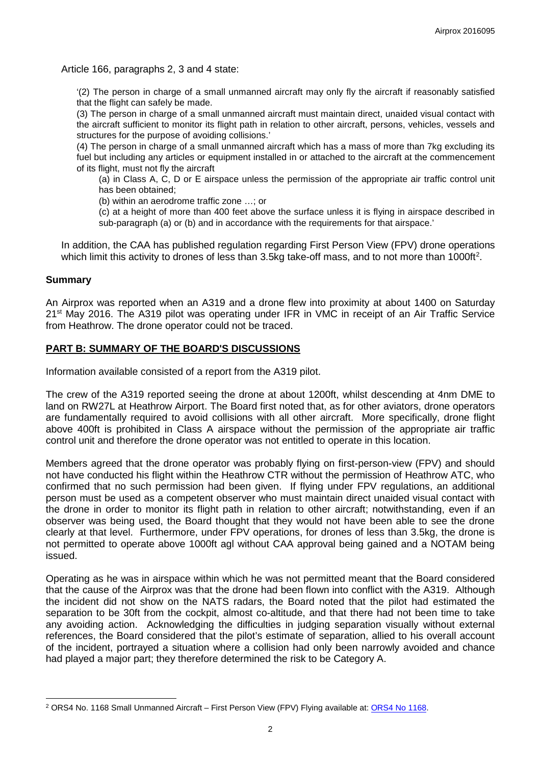Article 166, paragraphs 2, 3 and 4 state:

'(2) The person in charge of a small unmanned aircraft may only fly the aircraft if reasonably satisfied that the flight can safely be made.

(3) The person in charge of a small unmanned aircraft must maintain direct, unaided visual contact with the aircraft sufficient to monitor its flight path in relation to other aircraft, persons, vehicles, vessels and structures for the purpose of avoiding collisions.'

(4) The person in charge of a small unmanned aircraft which has a mass of more than 7kg excluding its fuel but including any articles or equipment installed in or attached to the aircraft at the commencement of its flight, must not fly the aircraft

(a) in Class A, C, D or E airspace unless the permission of the appropriate air traffic control unit has been obtained;

(b) within an aerodrome traffic zone …; or

(c) at a height of more than 400 feet above the surface unless it is flying in airspace described in sub-paragraph (a) or (b) and in accordance with the requirements for that airspace.'

In addition, the CAA has published regulation regarding First Person View (FPV) drone operations which limit this activity to drones of less than 3.5kg take-off mass, and to not more than 1000ft<sup>[2](#page-1-0)</sup>.

#### **Summary**

 $\overline{\phantom{a}}$ 

An Airprox was reported when an A319 and a drone flew into proximity at about 1400 on Saturday 21st May 2016. The A319 pilot was operating under IFR in VMC in receipt of an Air Traffic Service from Heathrow. The drone operator could not be traced.

#### **PART B: SUMMARY OF THE BOARD'S DISCUSSIONS**

Information available consisted of a report from the A319 pilot.

The crew of the A319 reported seeing the drone at about 1200ft, whilst descending at 4nm DME to land on RW27L at Heathrow Airport. The Board first noted that, as for other aviators, drone operators are fundamentally required to avoid collisions with all other aircraft. More specifically, drone flight above 400ft is prohibited in Class A airspace without the permission of the appropriate air traffic control unit and therefore the drone operator was not entitled to operate in this location.

Members agreed that the drone operator was probably flying on first-person-view (FPV) and should not have conducted his flight within the Heathrow CTR without the permission of Heathrow ATC, who confirmed that no such permission had been given. If flying under FPV regulations, an additional person must be used as a competent observer who must maintain direct unaided visual contact with the drone in order to monitor its flight path in relation to other aircraft; notwithstanding, even if an observer was being used, the Board thought that they would not have been able to see the drone clearly at that level. Furthermore, under FPV operations, for drones of less than 3.5kg, the drone is not permitted to operate above 1000ft agl without CAA approval being gained and a NOTAM being issued.

Operating as he was in airspace within which he was not permitted meant that the Board considered that the cause of the Airprox was that the drone had been flown into conflict with the A319. Although the incident did not show on the NATS radars, the Board noted that the pilot had estimated the separation to be 30ft from the cockpit, almost co-altitude, and that there had not been time to take any avoiding action. Acknowledging the difficulties in judging separation visually without external references, the Board considered that the pilot's estimate of separation, allied to his overall account of the incident, portrayed a situation where a collision had only been narrowly avoided and chance had played a major part; they therefore determined the risk to be Category A.

<span id="page-1-0"></span><sup>&</sup>lt;sup>2</sup> ORS4 No. 1168 Small Unmanned Aircraft – First Person View (FPV) Flying available at: ORS4 No 1168.